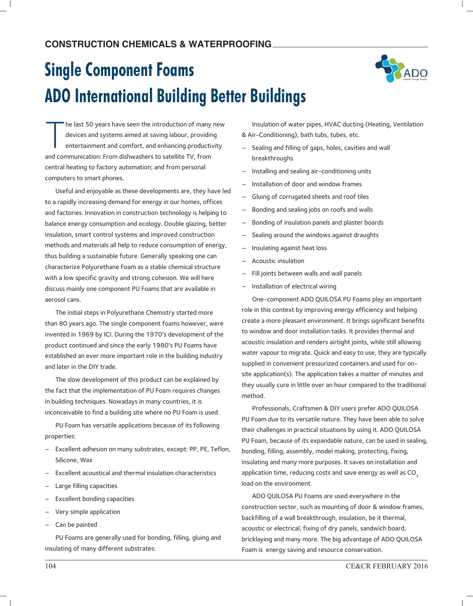# **Single Component Foams ADO International Building Better Buildings**



T he last 50 years have seen the introduction of many new devices and systems aimed at saving labour, providing entertainment and comfort, and enhancing productivity and communication: From dishwashers to satellite TV; from central heating to factory automation; and from personal computers to smart phones.

Useful and enjoyable as these developments are, they have led to a rapidly increasing demand for energy in our homes, offices and factories. Innovation in construction technology is helping to balance energy consumption and ecology. Double glazing, better insulation, smart control systems and improved construction methods and materials all help to reduce consumption of energy, thus building a sustainable future. Generally speaking one can characterize Polyurethane Foam as a stable chemical structure with a low specific gravity and strong cohesion. We will here discuss mainly one component PU Foams that are available in aerosol cans.

The initial steps in Polyurethane Chemistry started more than 80 years ago. The single component foams however, were invented in 1969 by ICI. During the 1970's development of the product continued and since the early 1980's PU Foams have established an ever more important role in the building industry and later in the DIY trade.

The slow development of this product can be explained by the fact that the implementation of PU Foam requires changes in building techniques. Nowadays in many countries, it is inconceivable to find a building site where no PU Foam is used.

PU Foam has versatile applications because of its following properties:

- Excellent adhesion on many substrates, except: PP, PE, Teflon, Silicone, Wax
- Excellent acoustical and thermal insulation characteristics
- Large filling capacities
- Excellent bonding capacities
- Very simple application
- Can be painted

PU Foams are generally used for bonding, filling, gluing and insulating of many different substrates:

Insulation of water pipes, HVAC ducting (Heating, Ventilation & Air-Conditioning), bath tubs, tubes, etc.

- Sealing and filling of gaps, holes, cavities and wall breakthroughs
- Installing and sealing air-conditioning units
- Installation of door and window frames
- Gluing of corrugated sheets and roof tiles
- Bonding and sealing jobs on roofs and walls
- Bonding of insulation panels and plaster boards
- Sealing around the windows against draughts
- Insulating against heat loss
- Acoustic insulation
- Fill joints between walls and wall panels
- Installation of electrical wiring

One-component ADO QUILOSA PU Foams play an important role in this context by improving energy efficiency and helping create a more pleasant environment. It brings significant benefits to window and door installation tasks. It provides thermal and acoustic insulation and renders airtight joints, while still allowing water vapour to migrate. Quick and easy to use, they are typically supplied in convenient pressurized containers and used for onsite application(s). The application takes a matter of minutes and they usually cure in little over an hour compared to the traditional method.

Professionals, Craftsmen & DIY users prefer ADO QUILOSA PU Foam due to its versatile nature. They have been able to solve their challenges in practical situations by using it. ADO QUILOSA PU Foam, because of its expandable nature, can be used in sealing, bonding, filling, assembly, model making, protecting, fixing, insulating and many more purposes. It saves on installation and application time, reducing costs and save energy as well as  $CO<sub>2</sub>$ load on the environment.

ADO QUILOSA PU Foams are used everywhere in the construction sector, such as mounting of door & window frames, backfilling of a wall breakthrough, insulation, be it thermal, acoustic or electrical, fixing of dry panels, sandwich board, bricklaying and many more. The big advantage of ADO QUILOSA Foam is energy saving and resource conservation.